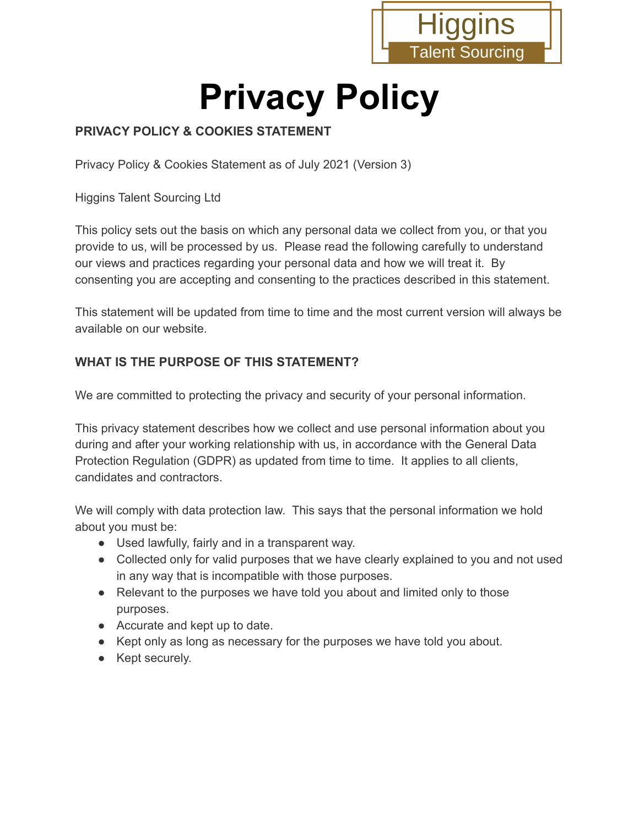

# **Privacy Policy**

#### **PRIVACY POLICY & COOKIES STATEMENT**

Privacy Policy & Cookies Statement as of July 2021 (Version 3)

Higgins Talent Sourcing Ltd

This policy sets out the basis on which any personal data we collect from you, or that you provide to us, will be processed by us. Please read the following carefully to understand our views and practices regarding your personal data and how we will treat it. By consenting you are accepting and consenting to the practices described in this statement.

This statement will be updated from time to time and the most current version will always be available on our website.

#### **WHAT IS THE PURPOSE OF THIS STATEMENT?**

We are committed to protecting the privacy and security of your personal information.

This privacy statement describes how we collect and use personal information about you during and after your working relationship with us, in accordance with the General Data Protection Regulation (GDPR) as updated from time to time. It applies to all clients, candidates and contractors.

We will comply with data protection law. This says that the personal information we hold about you must be:

- Used lawfully, fairly and in a transparent way.
- Collected only for valid purposes that we have clearly explained to you and not used in any way that is incompatible with those purposes.
- Relevant to the purposes we have told you about and limited only to those purposes.
- Accurate and kept up to date.
- Kept only as long as necessary for the purposes we have told you about.
- Kept securely.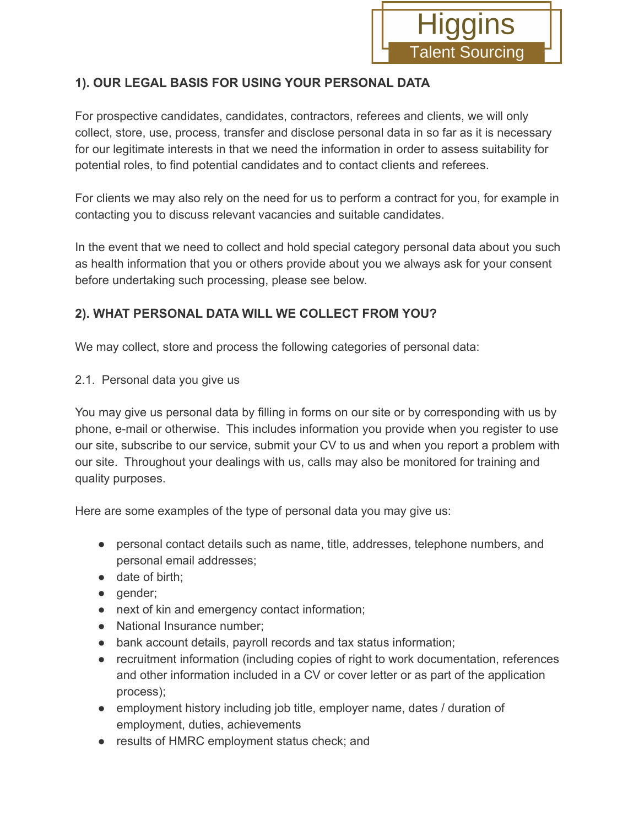

## **1). OUR LEGAL BASIS FOR USING YOUR PERSONAL DATA**

For prospective candidates, candidates, contractors, referees and clients, we will only collect, store, use, process, transfer and disclose personal data in so far as it is necessary for our legitimate interests in that we need the information in order to assess suitability for potential roles, to find potential candidates and to contact clients and referees.

For clients we may also rely on the need for us to perform a contract for you, for example in contacting you to discuss relevant vacancies and suitable candidates.

In the event that we need to collect and hold special category personal data about you such as health information that you or others provide about you we always ask for your consent before undertaking such processing, please see below.

## **2). WHAT PERSONAL DATA WILL WE COLLECT FROM YOU?**

We may collect, store and process the following categories of personal data:

2.1. Personal data you give us

You may give us personal data by filling in forms on our site or by corresponding with us by phone, e-mail or otherwise. This includes information you provide when you register to use our site, subscribe to our service, submit your CV to us and when you report a problem with our site. Throughout your dealings with us, calls may also be monitored for training and quality purposes.

Here are some examples of the type of personal data you may give us:

- personal contact details such as name, title, addresses, telephone numbers, and personal email addresses;
- date of birth;
- gender;
- next of kin and emergency contact information;
- National Insurance number;
- bank account details, payroll records and tax status information;
- recruitment information (including copies of right to work documentation, references and other information included in a CV or cover letter or as part of the application process);
- employment history including job title, employer name, dates / duration of employment, duties, achievements
- results of HMRC employment status check; and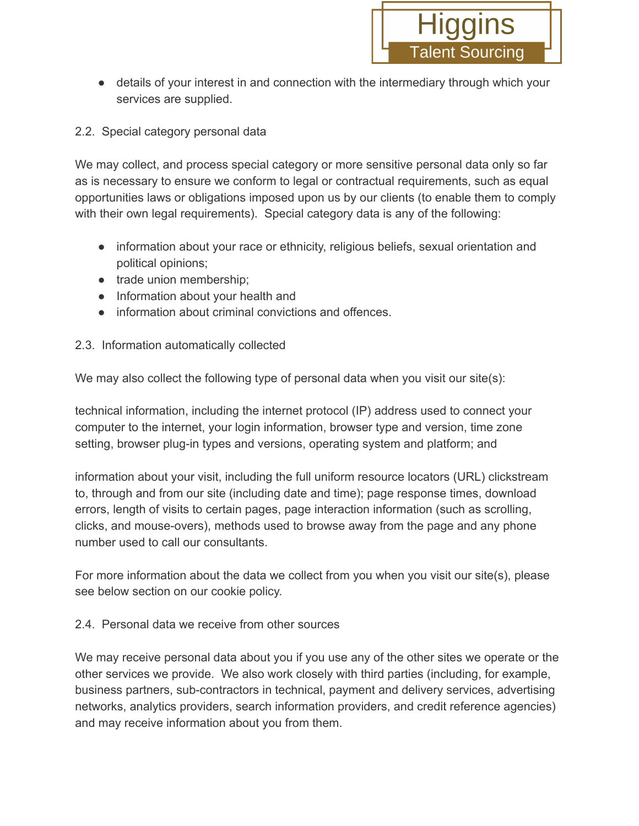• details of your interest in and connection with the intermediary through which your services are supplied.

#### 2.2. Special category personal data

We may collect, and process special category or more sensitive personal data only so far as is necessary to ensure we conform to legal or contractual requirements, such as equal opportunities laws or obligations imposed upon us by our clients (to enable them to comply with their own legal requirements). Special category data is any of the following:

- information about your race or ethnicity, religious beliefs, sexual orientation and political opinions;
- trade union membership;
- Information about your health and
- information about criminal convictions and offences.

#### 2.3. Information automatically collected

We may also collect the following type of personal data when you visit our site(s):

technical information, including the internet protocol (IP) address used to connect your computer to the internet, your login information, browser type and version, time zone setting, browser plug-in types and versions, operating system and platform; and

information about your visit, including the full uniform resource locators (URL) clickstream to, through and from our site (including date and time); page response times, download errors, length of visits to certain pages, page interaction information (such as scrolling, clicks, and mouse-overs), methods used to browse away from the page and any phone number used to call our consultants.

For more information about the data we collect from you when you visit our site(s), please see below section on our cookie policy.

#### 2.4. Personal data we receive from other sources

We may receive personal data about you if you use any of the other sites we operate or the other services we provide. We also work closely with third parties (including, for example, business partners, sub-contractors in technical, payment and delivery services, advertising networks, analytics providers, search information providers, and credit reference agencies) and may receive information about you from them.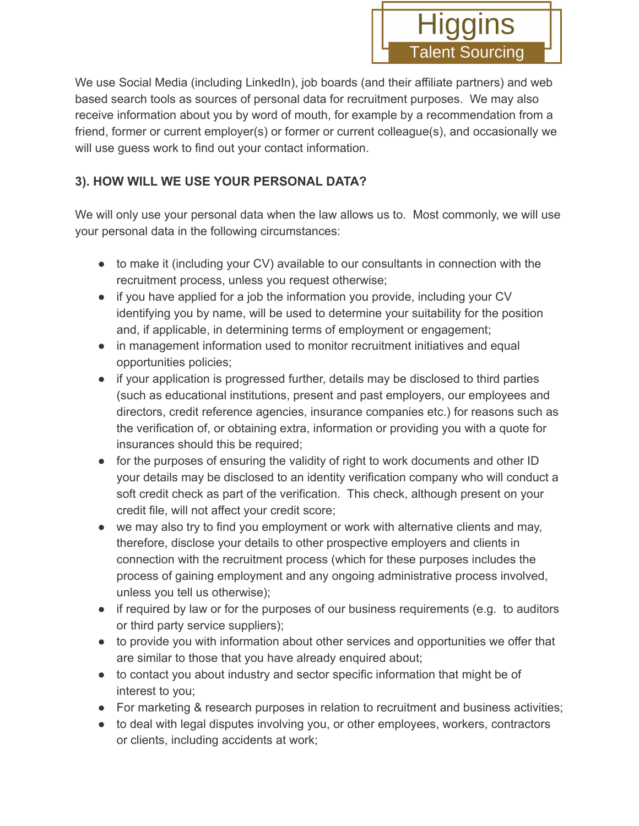

We use Social Media (including LinkedIn), job boards (and their affiliate partners) and web based search tools as sources of personal data for recruitment purposes. We may also receive information about you by word of mouth, for example by a recommendation from a friend, former or current employer(s) or former or current colleague(s), and occasionally we will use guess work to find out your contact information.

## **3). HOW WILL WE USE YOUR PERSONAL DATA?**

We will only use your personal data when the law allows us to. Most commonly, we will use your personal data in the following circumstances:

- to make it (including your CV) available to our consultants in connection with the recruitment process, unless you request otherwise;
- if you have applied for a job the information you provide, including your CV identifying you by name, will be used to determine your suitability for the position and, if applicable, in determining terms of employment or engagement;
- in management information used to monitor recruitment initiatives and equal opportunities policies;
- if your application is progressed further, details may be disclosed to third parties (such as educational institutions, present and past employers, our employees and directors, credit reference agencies, insurance companies etc.) for reasons such as the verification of, or obtaining extra, information or providing you with a quote for insurances should this be required;
- for the purposes of ensuring the validity of right to work documents and other ID your details may be disclosed to an identity verification company who will conduct a soft credit check as part of the verification. This check, although present on your credit file, will not affect your credit score;
- we may also try to find you employment or work with alternative clients and may, therefore, disclose your details to other prospective employers and clients in connection with the recruitment process (which for these purposes includes the process of gaining employment and any ongoing administrative process involved, unless you tell us otherwise);
- if required by law or for the purposes of our business requirements (e.g. to auditors or third party service suppliers);
- to provide you with information about other services and opportunities we offer that are similar to those that you have already enquired about;
- to contact you about industry and sector specific information that might be of interest to you;
- For marketing & research purposes in relation to recruitment and business activities;
- to deal with legal disputes involving you, or other employees, workers, contractors or clients, including accidents at work;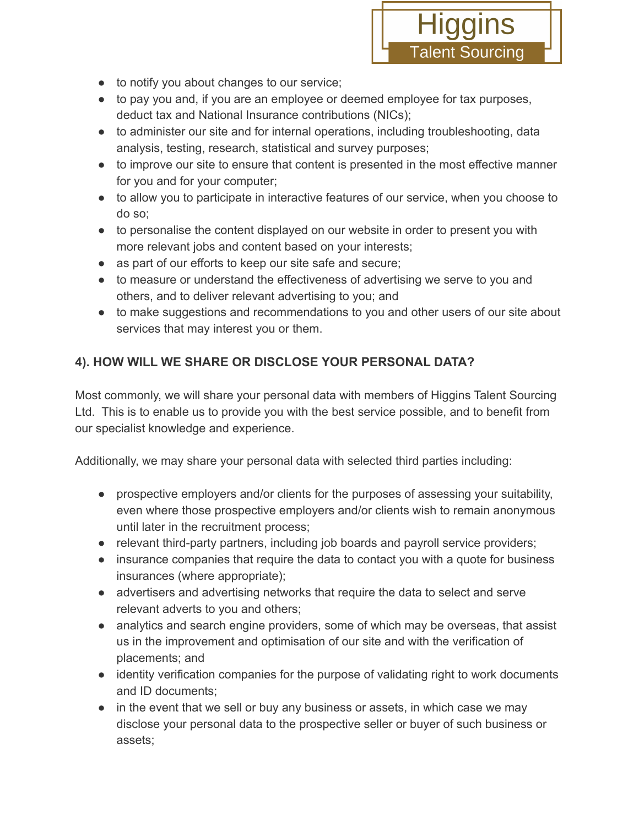

- to notify you about changes to our service;
- to pay you and, if you are an employee or deemed employee for tax purposes, deduct tax and National Insurance contributions (NICs);
- to administer our site and for internal operations, including troubleshooting, data analysis, testing, research, statistical and survey purposes;
- to improve our site to ensure that content is presented in the most effective manner for you and for your computer;
- to allow you to participate in interactive features of our service, when you choose to do so;
- to personalise the content displayed on our website in order to present you with more relevant jobs and content based on your interests;
- as part of our efforts to keep our site safe and secure;
- to measure or understand the effectiveness of advertising we serve to you and others, and to deliver relevant advertising to you; and
- to make suggestions and recommendations to you and other users of our site about services that may interest you or them.

# **4). HOW WILL WE SHARE OR DISCLOSE YOUR PERSONAL DATA?**

Most commonly, we will share your personal data with members of Higgins Talent Sourcing Ltd. This is to enable us to provide you with the best service possible, and to benefit from our specialist knowledge and experience.

Additionally, we may share your personal data with selected third parties including:

- prospective employers and/or clients for the purposes of assessing your suitability, even where those prospective employers and/or clients wish to remain anonymous until later in the recruitment process;
- relevant third-party partners, including job boards and payroll service providers;
- insurance companies that require the data to contact you with a quote for business insurances (where appropriate);
- advertisers and advertising networks that require the data to select and serve relevant adverts to you and others;
- analytics and search engine providers, some of which may be overseas, that assist us in the improvement and optimisation of our site and with the verification of placements; and
- identity verification companies for the purpose of validating right to work documents and ID documents;
- in the event that we sell or buy any business or assets, in which case we may disclose your personal data to the prospective seller or buyer of such business or assets;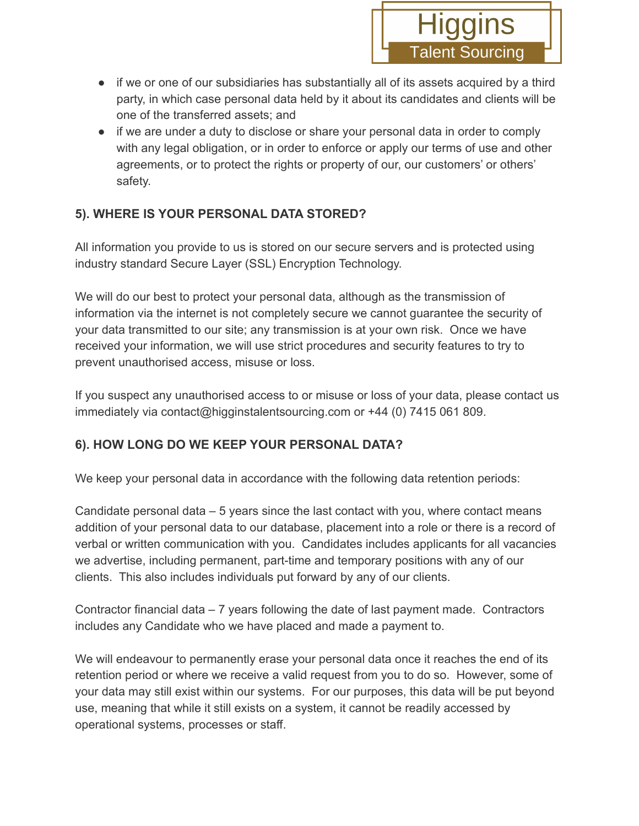- if we or one of our subsidiaries has substantially all of its assets acquired by a third party, in which case personal data held by it about its candidates and clients will be one of the transferred assets; and
- if we are under a duty to disclose or share your personal data in order to comply with any legal obligation, or in order to enforce or apply our terms of use and other agreements, or to protect the rights or property of our, our customers' or others' safety.

# **5). WHERE IS YOUR PERSONAL DATA STORED?**

All information you provide to us is stored on our secure servers and is protected using industry standard Secure Layer (SSL) Encryption Technology.

We will do our best to protect your personal data, although as the transmission of information via the internet is not completely secure we cannot guarantee the security of your data transmitted to our site; any transmission is at your own risk. Once we have received your information, we will use strict procedures and security features to try to prevent unauthorised access, misuse or loss.

If you suspect any unauthorised access to or misuse or loss of your data, please contact us immediately via contact@higginstalentsourcing.com or +44 (0) 7415 061 809.

# **6). HOW LONG DO WE KEEP YOUR PERSONAL DATA?**

We keep your personal data in accordance with the following data retention periods:

Candidate personal data – 5 years since the last contact with you, where contact means addition of your personal data to our database, placement into a role or there is a record of verbal or written communication with you. Candidates includes applicants for all vacancies we advertise, including permanent, part-time and temporary positions with any of our clients. This also includes individuals put forward by any of our clients.

Contractor financial data – 7 years following the date of last payment made. Contractors includes any Candidate who we have placed and made a payment to.

We will endeavour to permanently erase your personal data once it reaches the end of its retention period or where we receive a valid request from you to do so. However, some of your data may still exist within our systems. For our purposes, this data will be put beyond use, meaning that while it still exists on a system, it cannot be readily accessed by operational systems, processes or staff.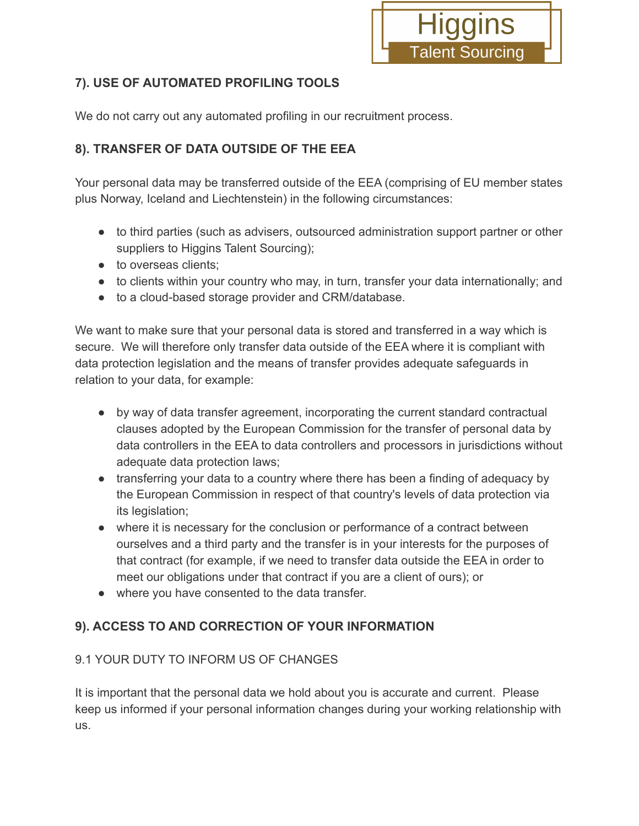

## **7). USE OF AUTOMATED PROFILING TOOLS**

We do not carry out any automated profiling in our recruitment process.

## **8). TRANSFER OF DATA OUTSIDE OF THE EEA**

Your personal data may be transferred outside of the EEA (comprising of EU member states plus Norway, Iceland and Liechtenstein) in the following circumstances:

- to third parties (such as advisers, outsourced administration support partner or other suppliers to Higgins Talent Sourcing);
- to overseas clients;
- to clients within your country who may, in turn, transfer your data internationally; and
- to a cloud-based storage provider and CRM/database.

We want to make sure that your personal data is stored and transferred in a way which is secure. We will therefore only transfer data outside of the EEA where it is compliant with data protection legislation and the means of transfer provides adequate safeguards in relation to your data, for example:

- by way of data transfer agreement, incorporating the current standard contractual clauses adopted by the European Commission for the transfer of personal data by data controllers in the EEA to data controllers and processors in jurisdictions without adequate data protection laws;
- transferring your data to a country where there has been a finding of adequacy by the European Commission in respect of that country's levels of data protection via its legislation;
- where it is necessary for the conclusion or performance of a contract between ourselves and a third party and the transfer is in your interests for the purposes of that contract (for example, if we need to transfer data outside the EEA in order to meet our obligations under that contract if you are a client of ours); or
- where you have consented to the data transfer.

# **9). ACCESS TO AND CORRECTION OF YOUR INFORMATION**

#### 9.1 YOUR DUTY TO INFORM US OF CHANGES

It is important that the personal data we hold about you is accurate and current. Please keep us informed if your personal information changes during your working relationship with us.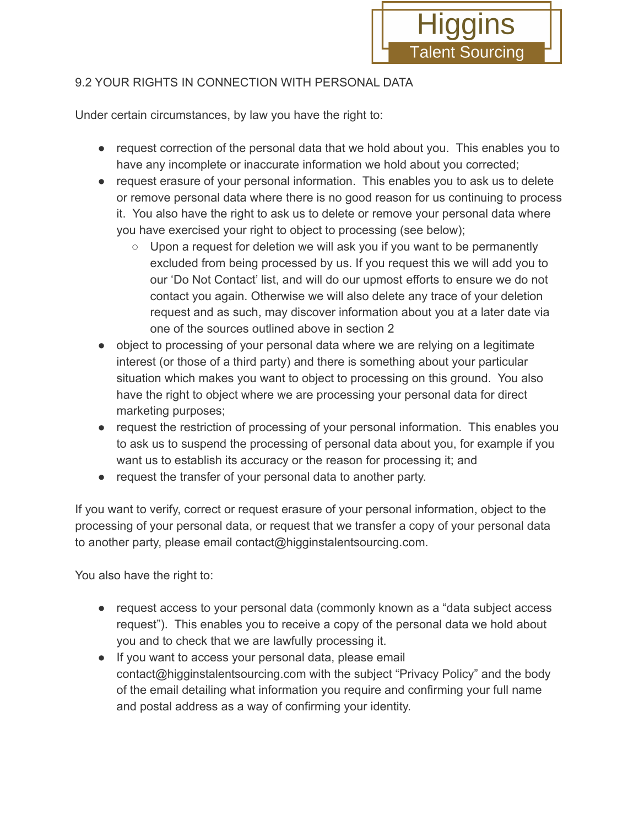

#### 9.2 YOUR RIGHTS IN CONNECTION WITH PERSONAL DATA

Under certain circumstances, by law you have the right to:

- request correction of the personal data that we hold about you. This enables you to have any incomplete or inaccurate information we hold about you corrected;
- request erasure of your personal information. This enables you to ask us to delete or remove personal data where there is no good reason for us continuing to process it. You also have the right to ask us to delete or remove your personal data where you have exercised your right to object to processing (see below);
	- Upon a request for deletion we will ask you if you want to be permanently excluded from being processed by us. If you request this we will add you to our 'Do Not Contact' list, and will do our upmost efforts to ensure we do not contact you again. Otherwise we will also delete any trace of your deletion request and as such, may discover information about you at a later date via one of the sources outlined above in section 2
- object to processing of your personal data where we are relying on a legitimate interest (or those of a third party) and there is something about your particular situation which makes you want to object to processing on this ground. You also have the right to object where we are processing your personal data for direct marketing purposes;
- request the restriction of processing of your personal information. This enables you to ask us to suspend the processing of personal data about you, for example if you want us to establish its accuracy or the reason for processing it; and
- request the transfer of your personal data to another party.

If you want to verify, correct or request erasure of your personal information, object to the processing of your personal data, or request that we transfer a copy of your personal data to another party, please email contact@higginstalentsourcing.com.

You also have the right to:

- request access to your personal data (commonly known as a "data subject access request"). This enables you to receive a copy of the personal data we hold about you and to check that we are lawfully processing it.
- If you want to access your personal data, please email contact@higginstalentsourcing.com with the subject "Privacy Policy" and the body of the email detailing what information you require and confirming your full name and postal address as a way of confirming your identity.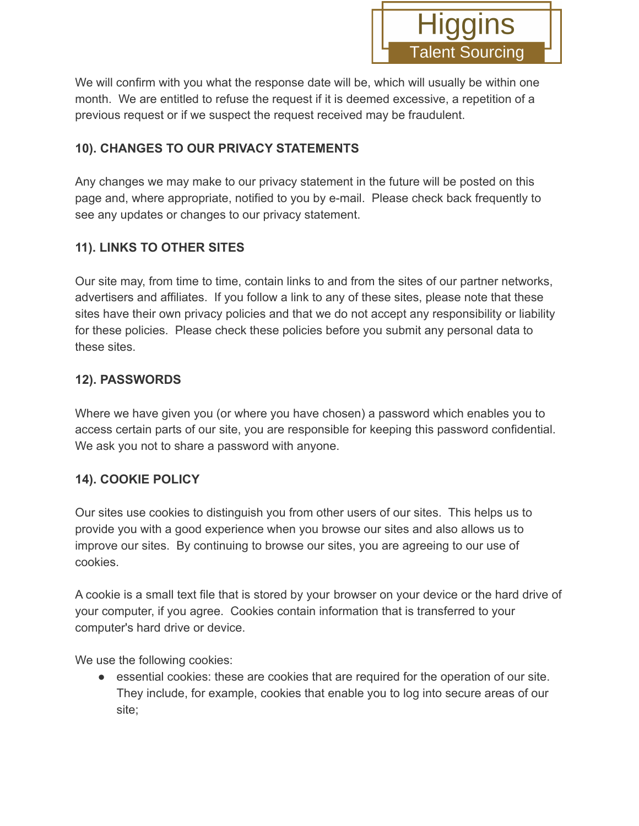

We will confirm with you what the response date will be, which will usually be within one month. We are entitled to refuse the request if it is deemed excessive, a repetition of a previous request or if we suspect the request received may be fraudulent.

#### **10). CHANGES TO OUR PRIVACY STATEMENTS**

Any changes we may make to our privacy statement in the future will be posted on this page and, where appropriate, notified to you by e-mail. Please check back frequently to see any updates or changes to our privacy statement.

## **11). LINKS TO OTHER SITES**

Our site may, from time to time, contain links to and from the sites of our partner networks, advertisers and affiliates. If you follow a link to any of these sites, please note that these sites have their own privacy policies and that we do not accept any responsibility or liability for these policies. Please check these policies before you submit any personal data to these sites.

#### **12). PASSWORDS**

Where we have given you (or where you have chosen) a password which enables you to access certain parts of our site, you are responsible for keeping this password confidential. We ask you not to share a password with anyone.

#### **14). COOKIE POLICY**

Our sites use cookies to distinguish you from other users of our sites. This helps us to provide you with a good experience when you browse our sites and also allows us to improve our sites. By continuing to browse our sites, you are agreeing to our use of cookies.

A cookie is a small text file that is stored by your browser on your device or the hard drive of your computer, if you agree. Cookies contain information that is transferred to your computer's hard drive or device.

We use the following cookies:

• essential cookies: these are cookies that are required for the operation of our site. They include, for example, cookies that enable you to log into secure areas of our site;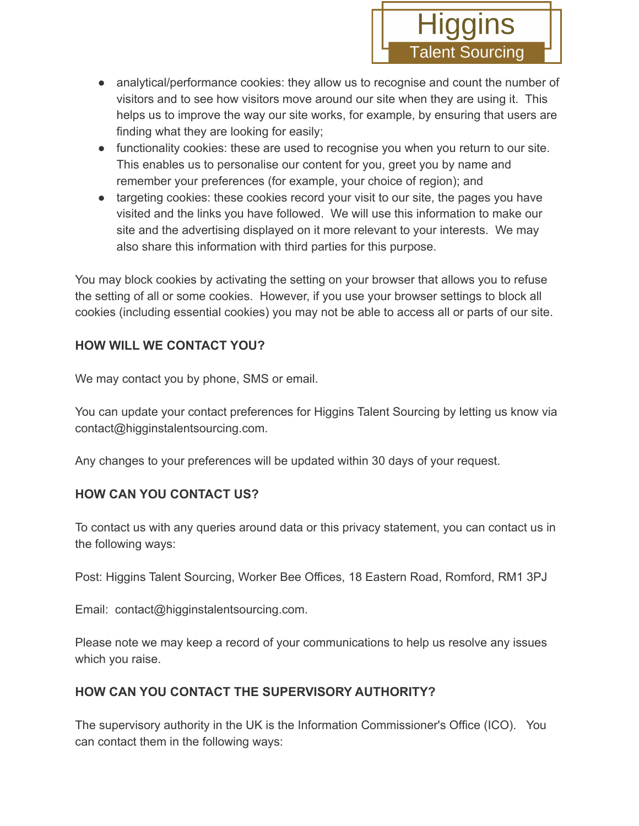- analytical/performance cookies: they allow us to recognise and count the number of visitors and to see how visitors move around our site when they are using it. This helps us to improve the way our site works, for example, by ensuring that users are finding what they are looking for easily;
- functionality cookies: these are used to recognise you when you return to our site. This enables us to personalise our content for you, greet you by name and remember your preferences (for example, your choice of region); and
- targeting cookies: these cookies record your visit to our site, the pages you have visited and the links you have followed. We will use this information to make our site and the advertising displayed on it more relevant to your interests. We may also share this information with third parties for this purpose.

You may block cookies by activating the setting on your browser that allows you to refuse the setting of all or some cookies. However, if you use your browser settings to block all cookies (including essential cookies) you may not be able to access all or parts of our site.

## **HOW WILL WE CONTACT YOU?**

We may contact you by phone, SMS or email.

You can update your contact preferences for Higgins Talent Sourcing by letting us know via contact@higginstalentsourcing.com.

Any changes to your preferences will be updated within 30 days of your request.

# **HOW CAN YOU CONTACT US?**

To contact us with any queries around data or this privacy statement, you can contact us in the following ways:

Post: Higgins Talent Sourcing, Worker Bee Offices, 18 Eastern Road, Romford, RM1 3PJ

Email: contact@higginstalentsourcing.com.

Please note we may keep a record of your communications to help us resolve any issues which you raise.

# **HOW CAN YOU CONTACT THE SUPERVISORY AUTHORITY?**

The supervisory authority in the UK is the Information Commissioner's Office (ICO). You can contact them in the following ways: